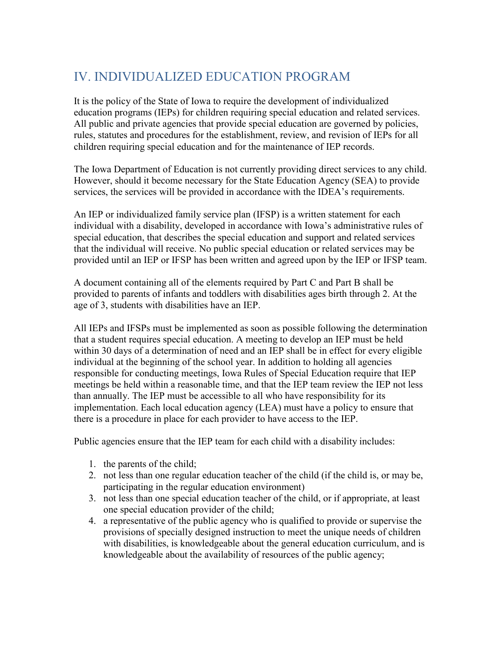## IV. INDIVIDUALIZED EDUCATION PROGRAM

It is the policy of the State of Iowa to require the development of individualized education programs (IEPs) for children requiring special education and related services. All public and private agencies that provide special education are governed by policies, rules, statutes and procedures for the establishment, review, and revision of IEPs for all children requiring special education and for the maintenance of IEP records.

The Iowa Department of Education is not currently providing direct services to any child. However, should it become necessary for the State Education Agency (SEA) to provide services, the services will be provided in accordance with the IDEA's requirements.

An IEP or individualized family service plan (IFSP) is a written statement for each individual with a disability, developed in accordance with Iowa's administrative rules of special education, that describes the special education and support and related services that the individual will receive. No public special education or related services may be provided until an IEP or IFSP has been written and agreed upon by the IEP or IFSP team.

A document containing all of the elements required by Part C and Part B shall be provided to parents of infants and toddlers with disabilities ages birth through 2. At the age of 3, students with disabilities have an IEP.

All IEPs and IFSPs must be implemented as soon as possible following the determination that a student requires special education. A meeting to develop an IEP must be held within 30 days of a determination of need and an IEP shall be in effect for every eligible individual at the beginning of the school year. In addition to holding all agencies responsible for conducting meetings, Iowa Rules of Special Education require that IEP meetings be held within a reasonable time, and that the IEP team review the IEP not less than annually. The IEP must be accessible to all who have responsibility for its implementation. Each local education agency (LEA) must have a policy to ensure that there is a procedure in place for each provider to have access to the IEP.

Public agencies ensure that the IEP team for each child with a disability includes:

- 1. the parents of the child;
- 2. not less than one regular education teacher of the child (if the child is, or may be, participating in the regular education environment)
- 3. not less than one special education teacher of the child, or if appropriate, at least one special education provider of the child;
- 4. a representative of the public agency who is qualified to provide or supervise the provisions of specially designed instruction to meet the unique needs of children with disabilities, is knowledgeable about the general education curriculum, and is knowledgeable about the availability of resources of the public agency;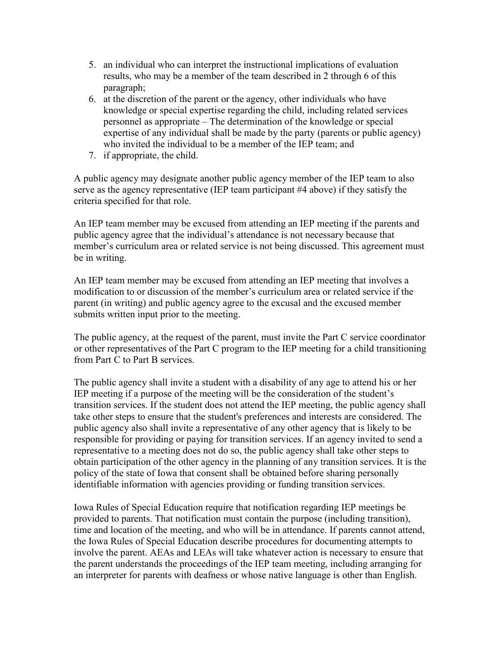- 5. an individual who can interpret the instructional implications of evaluation results, who may be a member of the team described in 2 through 6 of this paragraph;
- 6. at the discretion of the parent or the agency, other individuals who have knowledge or special expertise regarding the child, including related services personnel as appropriate – The determination of the knowledge or special expertise of any individual shall be made by the party (parents or public agency) who invited the individual to be a member of the IEP team; and
- 7. if appropriate, the child.

A public agency may designate another public agency member of the IEP team to also serve as the agency representative (IEP team participant #4 above) if they satisfy the criteria specified for that role.

An IEP team member may be excused from attending an IEP meeting if the parents and public agency agree that the individual's attendance is not necessary because that member's curriculum area or related service is not being discussed. This agreement must be in writing.

An IEP team member may be excused from attending an IEP meeting that involves a modification to or discussion of the member's curriculum area or related service if the parent (in writing) and public agency agree to the excusal and the excused member submits written input prior to the meeting.

The public agency, at the request of the parent, must invite the Part C service coordinator or other representatives of the Part C program to the IEP meeting for a child transitioning from Part C to Part B services.

The public agency shall invite a student with a disability of any age to attend his or her IEP meeting if a purpose of the meeting will be the consideration of the student's transition services. If the student does not attend the IEP meeting, the public agency shall take other steps to ensure that the student's preferences and interests are considered. The public agency also shall invite a representative of any other agency that is likely to be responsible for providing or paying for transition services. If an agency invited to send a representative to a meeting does not do so, the public agency shall take other steps to obtain participation of the other agency in the planning of any transition services. It is the policy of the state of Iowa that consent shall be obtained before sharing personally identifiable information with agencies providing or funding transition services.

Iowa Rules of Special Education require that notification regarding IEP meetings be provided to parents. That notification must contain the purpose (including transition), time and location of the meeting, and who will be in attendance. If parents cannot attend, the Iowa Rules of Special Education describe procedures for documenting attempts to involve the parent. AEAs and LEAs will take whatever action is necessary to ensure that the parent understands the proceedings of the IEP team meeting, including arranging for an interpreter for parents with deafness or whose native language is other than English.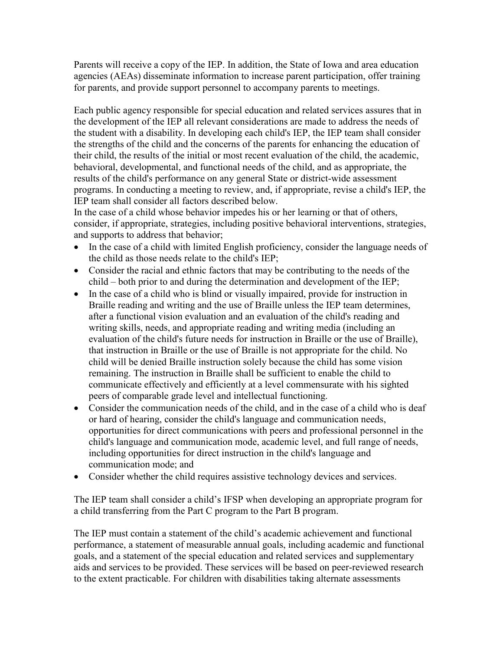Parents will receive a copy of the IEP. In addition, the State of Iowa and area education agencies (AEAs) disseminate information to increase parent participation, offer training for parents, and provide support personnel to accompany parents to meetings.

Each public agency responsible for special education and related services assures that in the development of the IEP all relevant considerations are made to address the needs of the student with a disability. In developing each child's IEP, the IEP team shall consider the strengths of the child and the concerns of the parents for enhancing the education of their child, the results of the initial or most recent evaluation of the child, the academic, behavioral, developmental, and functional needs of the child, and as appropriate, the results of the child's performance on any general State or district-wide assessment programs. In conducting a meeting to review, and, if appropriate, revise a child's IEP, the IEP team shall consider all factors described below.

In the case of a child whose behavior impedes his or her learning or that of others, consider, if appropriate, strategies, including positive behavioral interventions, strategies, and supports to address that behavior;

- In the case of a child with limited English proficiency, consider the language needs of the child as those needs relate to the child's IEP;
- Consider the racial and ethnic factors that may be contributing to the needs of the child – both prior to and during the determination and development of the IEP;
- In the case of a child who is blind or visually impaired, provide for instruction in Braille reading and writing and the use of Braille unless the IEP team determines, after a functional vision evaluation and an evaluation of the child's reading and writing skills, needs, and appropriate reading and writing media (including an evaluation of the child's future needs for instruction in Braille or the use of Braille), that instruction in Braille or the use of Braille is not appropriate for the child. No child will be denied Braille instruction solely because the child has some vision remaining. The instruction in Braille shall be sufficient to enable the child to communicate effectively and efficiently at a level commensurate with his sighted peers of comparable grade level and intellectual functioning.
- Consider the communication needs of the child, and in the case of a child who is deaf or hard of hearing, consider the child's language and communication needs, opportunities for direct communications with peers and professional personnel in the child's language and communication mode, academic level, and full range of needs, including opportunities for direct instruction in the child's language and communication mode; and
- Consider whether the child requires assistive technology devices and services.

The IEP team shall consider a child's IFSP when developing an appropriate program for a child transferring from the Part C program to the Part B program.

The IEP must contain a statement of the child's academic achievement and functional performance, a statement of measurable annual goals, including academic and functional goals, and a statement of the special education and related services and supplementary aids and services to be provided. These services will be based on peer-reviewed research to the extent practicable. For children with disabilities taking alternate assessments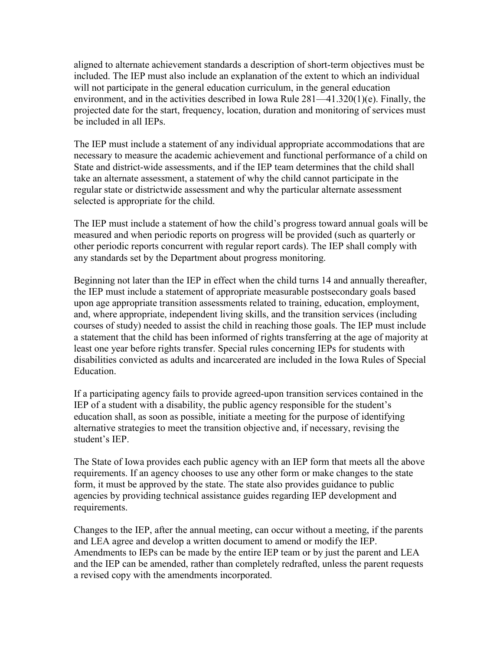aligned to alternate achievement standards a description of short-term objectives must be included. The IEP must also include an explanation of the extent to which an individual will not participate in the general education curriculum, in the general education environment, and in the activities described in Iowa Rule 281—41.320(1)(e). Finally, the projected date for the start, frequency, location, duration and monitoring of services must be included in all IEPs.

The IEP must include a statement of any individual appropriate accommodations that are necessary to measure the academic achievement and functional performance of a child on State and district-wide assessments, and if the IEP team determines that the child shall take an alternate assessment, a statement of why the child cannot participate in the regular state or districtwide assessment and why the particular alternate assessment selected is appropriate for the child.

The IEP must include a statement of how the child's progress toward annual goals will be measured and when periodic reports on progress will be provided (such as quarterly or other periodic reports concurrent with regular report cards). The IEP shall comply with any standards set by the Department about progress monitoring.

Beginning not later than the IEP in effect when the child turns 14 and annually thereafter, the IEP must include a statement of appropriate measurable postsecondary goals based upon age appropriate transition assessments related to training, education, employment, and, where appropriate, independent living skills, and the transition services (including courses of study) needed to assist the child in reaching those goals. The IEP must include a statement that the child has been informed of rights transferring at the age of majority at least one year before rights transfer. Special rules concerning IEPs for students with disabilities convicted as adults and incarcerated are included in the Iowa Rules of Special Education.

If a participating agency fails to provide agreed-upon transition services contained in the IEP of a student with a disability, the public agency responsible for the student's education shall, as soon as possible, initiate a meeting for the purpose of identifying alternative strategies to meet the transition objective and, if necessary, revising the student's IEP.

The State of Iowa provides each public agency with an IEP form that meets all the above requirements. If an agency chooses to use any other form or make changes to the state form, it must be approved by the state. The state also provides guidance to public agencies by providing technical assistance guides regarding IEP development and requirements.

Changes to the IEP, after the annual meeting, can occur without a meeting, if the parents and LEA agree and develop a written document to amend or modify the IEP. Amendments to IEPs can be made by the entire IEP team or by just the parent and LEA and the IEP can be amended, rather than completely redrafted, unless the parent requests a revised copy with the amendments incorporated.